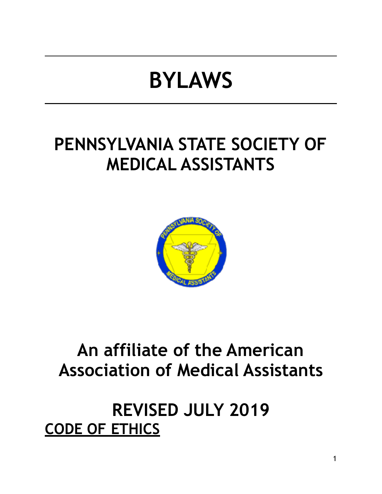# **BYLAWS**

## **PENNSYLVANIA STATE SOCIETY OF MEDICAL ASSISTANTS**



## **An affiliate of the American Association of Medical Assistants**

## **REVISED JULY 2019 CODE OF ETHICS**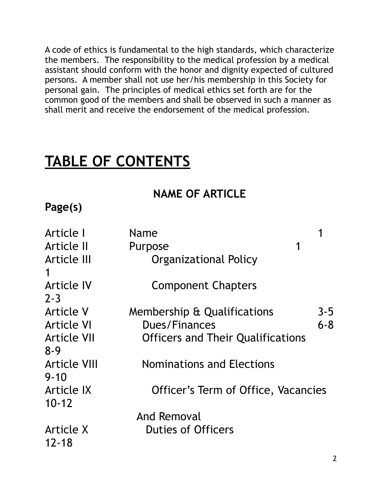A code of ethics is fundamental to the high standards, which characterize the members. The responsibility to the medical profession by a medical assistant should conform with the honor and dignity expected of cultured persons. A member shall not use her/his membership in this Society for personal gain. The principles of medical ethics set forth are for the common good of the members and shall be observed in such a manner as shall merit and receive the endorsement of the medical profession.

## **TABLE OF CONTENTS**

#### **NAME OF ARTICLE**

#### **Page(s)**

| Article I                       | Name                                     |         |
|---------------------------------|------------------------------------------|---------|
| Article II                      | 1<br>Purpose                             |         |
| Article III                     | Organizational Policy                    |         |
| Article IV<br>$2 - 3$           | <b>Component Chapters</b>                |         |
| <b>Article V</b>                | Membership & Qualifications              | $3 - 5$ |
| <b>Article VI</b>               | Dues/Finances                            | $6 - 8$ |
| <b>Article VII</b><br>$8-9$     | <b>Officers and Their Qualifications</b> |         |
| <b>Article VIII</b><br>$9 - 10$ | <b>Nominations and Elections</b>         |         |
| Article IX<br>$10 - 12$         | Officer's Term of Office, Vacancies      |         |
|                                 | And Removal                              |         |
| Article X<br>$12 - 18$          | <b>Duties of Officers</b>                |         |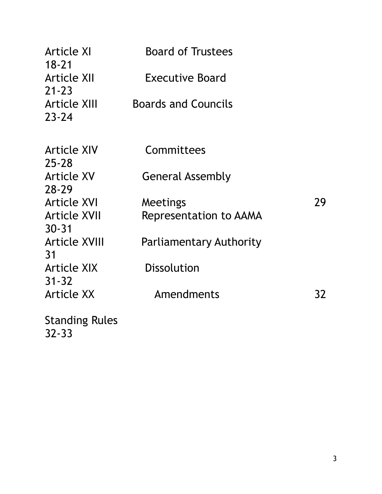| <b>Article XI</b>                             | <b>Board of Trustees</b>      |    |
|-----------------------------------------------|-------------------------------|----|
| $18 - 21$<br><b>Article XII</b>               | <b>Executive Board</b>        |    |
| $21 - 23$<br><b>Article XIII</b><br>$23 - 24$ | <b>Boards and Councils</b>    |    |
| <b>Article XIV</b><br>$25 - 28$               | Committees                    |    |
| Article XV<br>$28 - 29$                       | General Assembly              |    |
| <b>Article XVI</b>                            | Meetings                      | 29 |
| <b>Article XVII</b><br>$30 - 31$              | <b>Representation to AAMA</b> |    |
| <b>Article XVIII</b><br>31                    | Parliamentary Authority       |    |
| Article XIX<br>$31 - 32$                      | <b>Dissolution</b>            |    |
| <b>Article XX</b>                             | Amendments                    | 32 |
| $C+$                                          |                               |    |

Standing Rules 32-33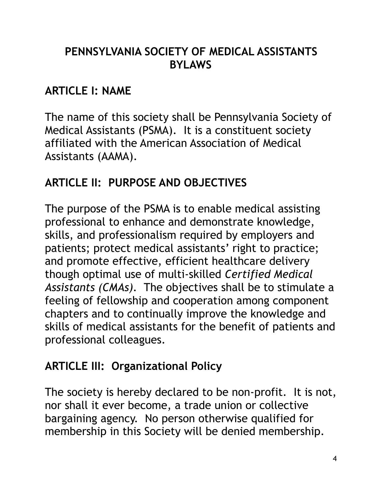#### **PENNSYLVANIA SOCIETY OF MEDICAL ASSISTANTS BYLAWS**

## **ARTICLE I: NAME**

The name of this society shall be Pennsylvania Society of Medical Assistants (PSMA). It is a constituent society affiliated with the American Association of Medical Assistants (AAMA).

## **ARTICLE II: PURPOSE AND OBJECTIVES**

The purpose of the PSMA is to enable medical assisting professional to enhance and demonstrate knowledge, skills, and professionalism required by employers and patients; protect medical assistants' right to practice; and promote effective, efficient healthcare delivery though optimal use of multi-skilled *Certified Medical Assistants (CMAs).* The objectives shall be to stimulate a feeling of fellowship and cooperation among component chapters and to continually improve the knowledge and skills of medical assistants for the benefit of patients and professional colleagues.

## **ARTICLE III: Organizational Policy**

The society is hereby declared to be non-profit. It is not, nor shall it ever become, a trade union or collective bargaining agency. No person otherwise qualified for membership in this Society will be denied membership.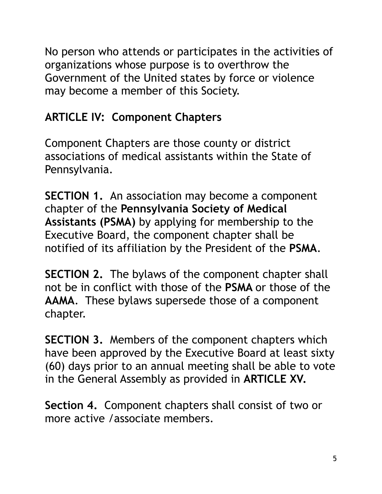No person who attends or participates in the activities of organizations whose purpose is to overthrow the Government of the United states by force or violence may become a member of this Society.

## **ARTICLE IV: Component Chapters**

Component Chapters are those county or district associations of medical assistants within the State of Pennsylvania.

**SECTION 1.** An association may become a component chapter of the **Pennsylvania Society of Medical Assistants (PSMA)** by applying for membership to the Executive Board, the component chapter shall be notified of its affiliation by the President of the **PSMA**.

**SECTION 2.** The bylaws of the component chapter shall not be in conflict with those of the **PSMA** or those of the **AAMA**. These bylaws supersede those of a component chapter.

**SECTION 3.** Members of the component chapters which have been approved by the Executive Board at least sixty (60) days prior to an annual meeting shall be able to vote in the General Assembly as provided in **ARTICLE XV.** 

**Section 4.** Component chapters shall consist of two or more active /associate members.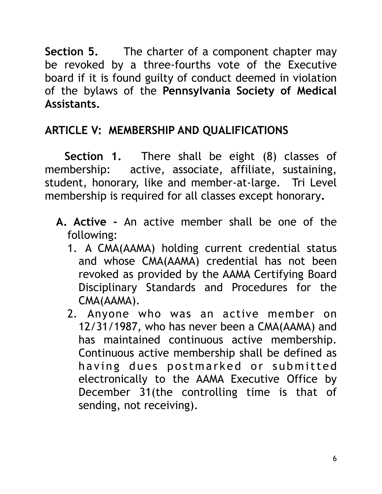**Section 5.** The charter of a component chapter may be revoked by a three-fourths vote of the Executive board if it is found guilty of conduct deemed in violation of the bylaws of the **Pennsylvania Society of Medical Assistants.** 

## **ARTICLE V: MEMBERSHIP AND QUALIFICATIONS**

 **Section 1.** There shall be eight (8) classes of membership: active, associate, affiliate, sustaining, student, honorary, like and member-at-large. Tri Level membership is required for all classes except honorary**.** 

- **A. Active** An active member shall be one of the following:
	- 1. A CMA(AAMA) holding current credential status and whose CMA(AAMA) credential has not been revoked as provided by the AAMA Certifying Board Disciplinary Standards and Procedures for the CMA(AAMA).
	- 2. Anyone who was an active member on 12/31/1987, who has never been a CMA(AAMA) and has maintained continuous active membership. Continuous active membership shall be defined as having dues postmarked or submitted electronically to the AAMA Executive Office by December 31(the controlling time is that of sending, not receiving).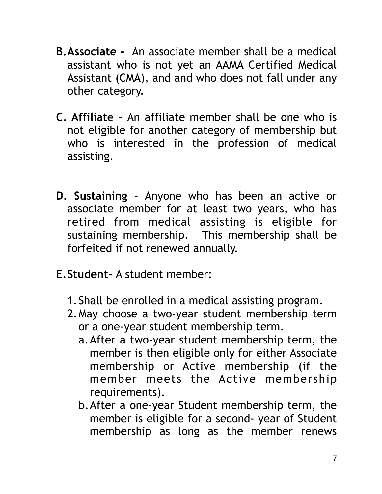- **B.Associate** An associate member shall be a medical assistant who is not yet an AAMA Certified Medical Assistant (CMA), and and who does not fall under any other category.
- **C. Affiliate** An affiliate member shall be one who is not eligible for another category of membership but who is interested in the profession of medical assisting.
- **D. Sustaining** Anyone who has been an active or associate member for at least two years, who has retired from medical assisting is eligible for sustaining membership. This membership shall be forfeited if not renewed annually.
- **E.Student-** A student member:
	- 1.Shall be enrolled in a medical assisting program.
	- 2.May choose a two-year student membership term or a one-year student membership term.
		- a.After a two-year student membership term, the member is then eligible only for either Associate membership or Active membership (if the member meets the Active membership requirements).
		- b.After a one-year Student membership term, the member is eligible for a second- year of Student membership as long as the member renews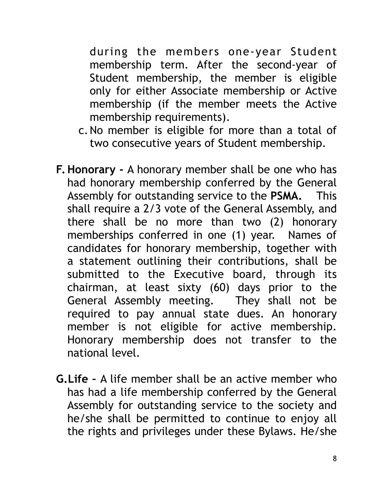during the members one-year Student membership term. After the second-year of Student membership, the member is eligible only for either Associate membership or Active membership (if the member meets the Active membership requirements).

- c.No member is eligible for more than a total of two consecutive years of Student membership.
- **F.Honorary** A honorary member shall be one who has had honorary membership conferred by the General Assembly for outstanding service to the **PSMA.** This shall require a 2/3 vote of the General Assembly, and there shall be no more than two (2) honorary memberships conferred in one (1) year. Names of candidates for honorary membership, together with a statement outlining their contributions, shall be submitted to the Executive board, through its chairman, at least sixty (60) days prior to the General Assembly meeting. They shall not be required to pay annual state dues. An honorary member is not eligible for active membership. Honorary membership does not transfer to the national level.
- **G.Life** A life member shall be an active member who has had a life membership conferred by the General Assembly for outstanding service to the society and he/she shall be permitted to continue to enjoy all the rights and privileges under these Bylaws. He/she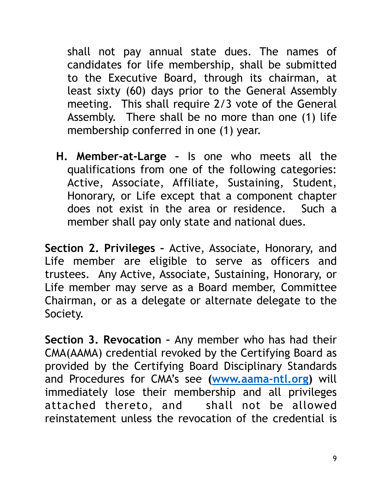shall not pay annual state dues. The names of candidates for life membership, shall be submitted to the Executive Board, through its chairman, at least sixty (60) days prior to the General Assembly meeting. This shall require 2/3 vote of the General Assembly. There shall be no more than one (1) life membership conferred in one (1) year.

**H. Member-at-Large –** Is one who meets all the qualifications from one of the following categories: Active, Associate, Affiliate, Sustaining, Student, Honorary, or Life except that a component chapter does not exist in the area or residence. Such a member shall pay only state and national dues.

**Section 2. Privileges –** Active, Associate, Honorary, and Life member are eligible to serve as officers and trustees. Any Active, Associate, Sustaining, Honorary, or Life member may serve as a Board member, Committee Chairman, or as a delegate or alternate delegate to the Society.

**Section 3. Revocation –** Any member who has had their CMA(AAMA) credential revoked by the Certifying Board as provided by the Certifying Board Disciplinary Standards and Procedures for CMA's see **([www.aama-ntl.org\)](http://www.aama-ntl.org)** will immediately lose their membership and all privileges attached thereto, and shall not be allowed reinstatement unless the revocation of the credential is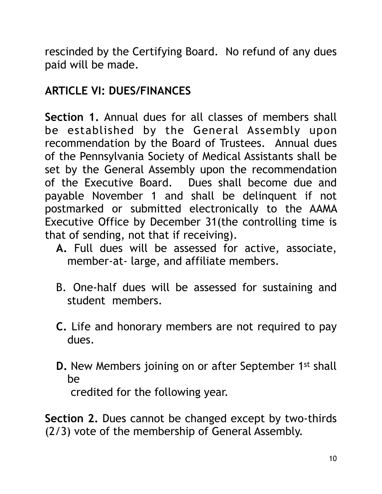rescinded by the Certifying Board. No refund of any dues paid will be made.

## **ARTICLE VI: DUES/FINANCES**

**Section 1.** Annual dues for all classes of members shall be established by the General Assembly upon recommendation by the Board of Trustees. Annual dues of the Pennsylvania Society of Medical Assistants shall be set by the General Assembly upon the recommendation of the Executive Board. Dues shall become due and payable November 1 and shall be delinquent if not postmarked or submitted electronically to the AAMA Executive Office by December 31(the controlling time is that of sending, not that if receiving).

- **A.** Full dues will be assessed for active, associate, member-at- large, and affiliate members.
- B. One-half dues will be assessed for sustaining and student members.
- **C.** Life and honorary members are not required to pay dues.
- **D.** New Members joining on or after September 1st shall be credited for the following year.

**Section 2.** Dues cannot be changed except by two-thirds (2/3) vote of the membership of General Assembly.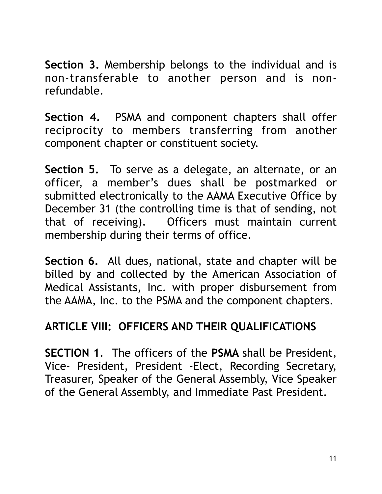**Section 3.** Membership belongs to the individual and is non-transferable to another person and is nonrefundable.

**Section 4.** PSMA and component chapters shall offer reciprocity to members transferring from another component chapter or constituent society.

**Section 5.** To serve as a delegate, an alternate, or an officer, a member's dues shall be postmarked or submitted electronically to the AAMA Executive Office by December 31 (the controlling time is that of sending, not that of receiving). Officers must maintain current membership during their terms of office.

**Section 6.** All dues, national, state and chapter will be billed by and collected by the American Association of Medical Assistants, Inc. with proper disbursement from the AAMA, Inc. to the PSMA and the component chapters.

#### **ARTICLE VIII: OFFICERS AND THEIR QUALIFICATIONS**

**SECTION 1**. The officers of the **PSMA** shall be President, Vice- President, President -Elect, Recording Secretary, Treasurer, Speaker of the General Assembly, Vice Speaker of the General Assembly, and Immediate Past President.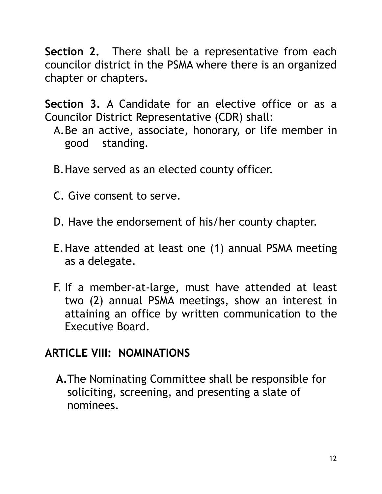**Section 2.** There shall be a representative from each councilor district in the PSMA where there is an organized chapter or chapters.

**Section 3.** A Candidate for an elective office or as a Councilor District Representative (CDR) shall:

- A.Be an active, associate, honorary, or life member in good standing.
- B.Have served as an elected county officer.
- C. Give consent to serve.
- D. Have the endorsement of his/her county chapter.
- E.Have attended at least one (1) annual PSMA meeting as a delegate.
- F. If a member-at-large, must have attended at least two (2) annual PSMA meetings, show an interest in attaining an office by written communication to the Executive Board.

#### **ARTICLE VIII: NOMINATIONS**

**A.**The Nominating Committee shall be responsible for soliciting, screening, and presenting a slate of nominees.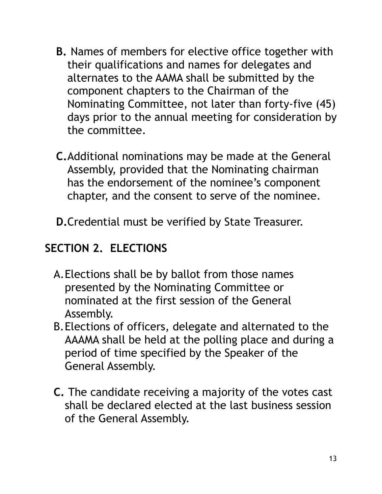- **B.** Names of members for elective office together with their qualifications and names for delegates and alternates to the AAMA shall be submitted by the component chapters to the Chairman of the Nominating Committee, not later than forty-five (45) days prior to the annual meeting for consideration by the committee.
- **C.**Additional nominations may be made at the General Assembly, provided that the Nominating chairman has the endorsement of the nominee's component chapter, and the consent to serve of the nominee.
- **D.**Credential must be verified by State Treasurer.

## **SECTION 2. ELECTIONS**

- A.Elections shall be by ballot from those names presented by the Nominating Committee or nominated at the first session of the General Assembly.
- B.Elections of officers, delegate and alternated to the AAAMA shall be held at the polling place and during a period of time specified by the Speaker of the General Assembly.
- **C.** The candidate receiving a majority of the votes cast shall be declared elected at the last business session of the General Assembly.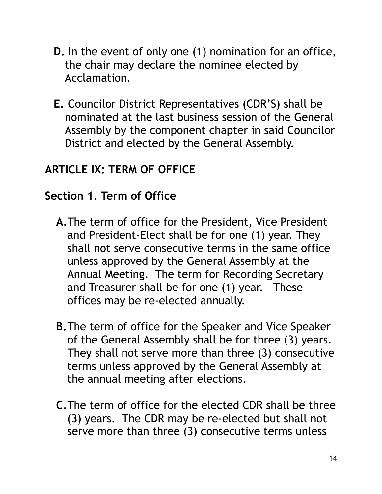- **D.** In the event of only one (1) nomination for an office, the chair may declare the nominee elected by Acclamation.
- **E.** Councilor District Representatives (CDR'S) shall be nominated at the last business session of the General Assembly by the component chapter in said Councilor District and elected by the General Assembly.

### **ARTICLE IX: TERM OF OFFICE**

#### **Section 1. Term of Office**

- **A.**The term of office for the President, Vice President and President-Elect shall be for one (1) year. They shall not serve consecutive terms in the same office unless approved by the General Assembly at the Annual Meeting. The term for Recording Secretary and Treasurer shall be for one (1) year. These offices may be re-elected annually.
- **B.**The term of office for the Speaker and Vice Speaker of the General Assembly shall be for three (3) years. They shall not serve more than three (3) consecutive terms unless approved by the General Assembly at the annual meeting after elections.
- **C.**The term of office for the elected CDR shall be three (3) years. The CDR may be re-elected but shall not serve more than three (3) consecutive terms unless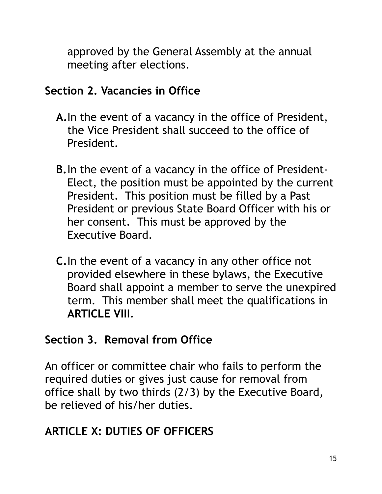approved by the General Assembly at the annual meeting after elections.

#### **Section 2. Vacancies in Office**

- **A.**In the event of a vacancy in the office of President, the Vice President shall succeed to the office of President.
- **B.**In the event of a vacancy in the office of President-Elect, the position must be appointed by the current President. This position must be filled by a Past President or previous State Board Officer with his or her consent. This must be approved by the Executive Board.
- **C.**In the event of a vacancy in any other office not provided elsewhere in these bylaws, the Executive Board shall appoint a member to serve the unexpired term. This member shall meet the qualifications in **ARTICLE VIII**.

#### **Section 3. Removal from Office**

An officer or committee chair who fails to perform the required duties or gives just cause for removal from office shall by two thirds (2/3) by the Executive Board, be relieved of his/her duties.

## **ARTICLE X: DUTIES OF OFFICERS**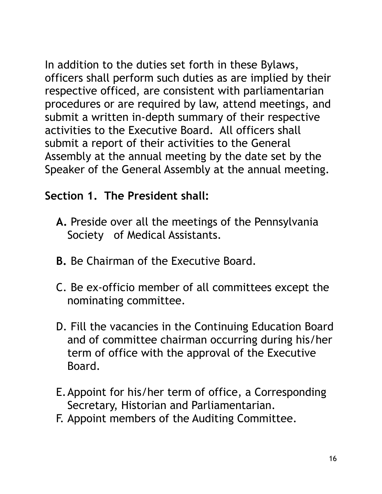In addition to the duties set forth in these Bylaws, officers shall perform such duties as are implied by their respective officed, are consistent with parliamentarian procedures or are required by law, attend meetings, and submit a written in-depth summary of their respective activities to the Executive Board. All officers shall submit a report of their activities to the General Assembly at the annual meeting by the date set by the Speaker of the General Assembly at the annual meeting.

### **Section 1. The President shall:**

- **A.** Preside over all the meetings of the Pennsylvania Society of Medical Assistants.
- **B.** Be Chairman of the Executive Board.
- C. Be ex-officio member of all committees except the nominating committee.
- D. Fill the vacancies in the Continuing Education Board and of committee chairman occurring during his/her term of office with the approval of the Executive Board.
- E.Appoint for his/her term of office, a Corresponding Secretary, Historian and Parliamentarian.
- F. Appoint members of the Auditing Committee.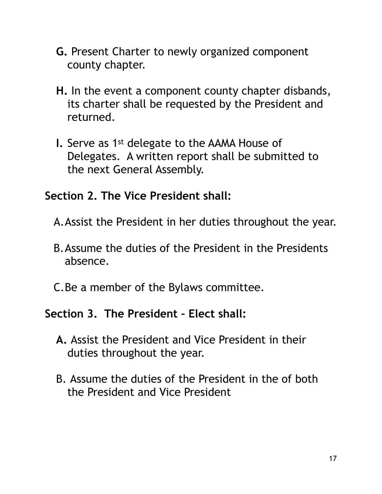- **G.** Present Charter to newly organized component county chapter.
- **H.** In the event a component county chapter disbands, its charter shall be requested by the President and returned.
- **I.** Serve as 1st delegate to the AAMA House of Delegates. A written report shall be submitted to the next General Assembly.

#### **Section 2. The Vice President shall:**

- A.Assist the President in her duties throughout the year.
- B.Assume the duties of the President in the Presidents absence.
- C.Be a member of the Bylaws committee.

#### **Section 3. The President – Elect shall:**

- **A.** Assist the President and Vice President in their duties throughout the year.
- B. Assume the duties of the President in the of both the President and Vice President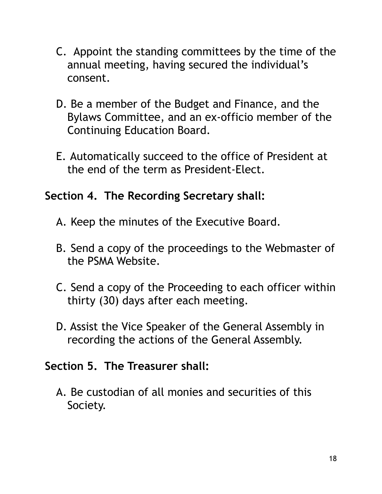- C. Appoint the standing committees by the time of the annual meeting, having secured the individual's consent.
- D. Be a member of the Budget and Finance, and the Bylaws Committee, and an ex-officio member of the Continuing Education Board.
- E. Automatically succeed to the office of President at the end of the term as President-Elect.

#### **Section 4. The Recording Secretary shall:**

- A. Keep the minutes of the Executive Board.
- B. Send a copy of the proceedings to the Webmaster of the PSMA Website.
- C. Send a copy of the Proceeding to each officer within thirty (30) days after each meeting.
- D. Assist the Vice Speaker of the General Assembly in recording the actions of the General Assembly.

#### **Section 5. The Treasurer shall:**

A. Be custodian of all monies and securities of this Society.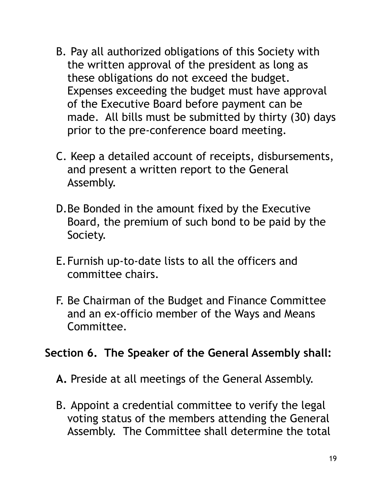- B. Pay all authorized obligations of this Society with the written approval of the president as long as these obligations do not exceed the budget. Expenses exceeding the budget must have approval of the Executive Board before payment can be made. All bills must be submitted by thirty (30) days prior to the pre-conference board meeting.
- C. Keep a detailed account of receipts, disbursements, and present a written report to the General Assembly.
- D.Be Bonded in the amount fixed by the Executive Board, the premium of such bond to be paid by the Society.
- E.Furnish up-to-date lists to all the officers and committee chairs.
- F. Be Chairman of the Budget and Finance Committee and an ex-officio member of the Ways and Means Committee.

#### **Section 6. The Speaker of the General Assembly shall:**

- **A.** Preside at all meetings of the General Assembly.
- B. Appoint a credential committee to verify the legal voting status of the members attending the General Assembly. The Committee shall determine the total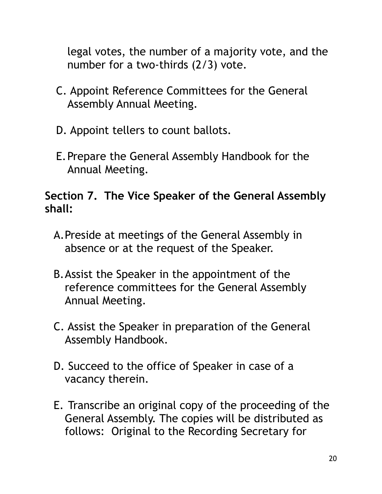legal votes, the number of a majority vote, and the number for a two-thirds (2/3) vote.

- C. Appoint Reference Committees for the General Assembly Annual Meeting.
- D. Appoint tellers to count ballots.
- E.Prepare the General Assembly Handbook for the Annual Meeting.

### **Section 7. The Vice Speaker of the General Assembly shall:**

- A.Preside at meetings of the General Assembly in absence or at the request of the Speaker.
- B.Assist the Speaker in the appointment of the reference committees for the General Assembly Annual Meeting.
- C. Assist the Speaker in preparation of the General Assembly Handbook.
- D. Succeed to the office of Speaker in case of a vacancy therein.
- E. Transcribe an original copy of the proceeding of the General Assembly. The copies will be distributed as follows: Original to the Recording Secretary for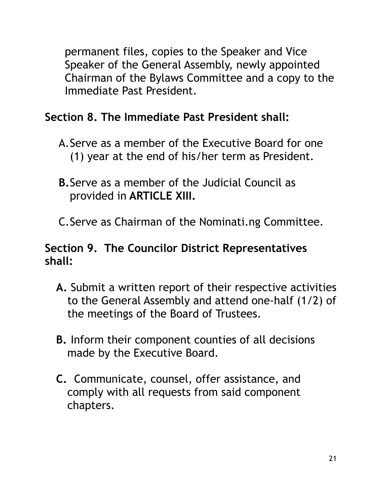permanent files, copies to the Speaker and Vice Speaker of the General Assembly, newly appointed Chairman of the Bylaws Committee and a copy to the Immediate Past President.

## **Section 8. The Immediate Past President shall:**

- A.Serve as a member of the Executive Board for one (1) year at the end of his/her term as President.
- **B.**Serve as a member of the Judicial Council as provided in **ARTICLE XIII.**
- C.Serve as Chairman of the Nominati.ng Committee.

#### **Section 9. The Councilor District Representatives shall:**

- **A.** Submit a written report of their respective activities to the General Assembly and attend one-half (1/2) of the meetings of the Board of Trustees.
- **B.** Inform their component counties of all decisions made by the Executive Board.
- **C.** Communicate, counsel, offer assistance, and comply with all requests from said component chapters.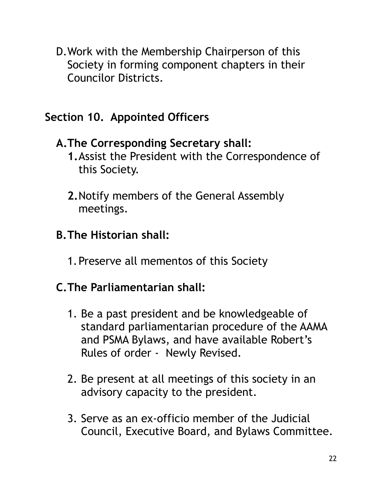D.Work with the Membership Chairperson of this Society in forming component chapters in their Councilor Districts.

#### **Section 10. Appointed Officers**

#### **A.The Corresponding Secretary shall:**

- **1.**Assist the President with the Correspondence of this Society.
- **2.**Notify members of the General Assembly meetings.

#### **B.The Historian shall:**

1.Preserve all mementos of this Society

#### **C.The Parliamentarian shall:**

- 1. Be a past president and be knowledgeable of standard parliamentarian procedure of the AAMA and PSMA Bylaws, and have available Robert's Rules of order - Newly Revised.
- 2. Be present at all meetings of this society in an advisory capacity to the president.
- 3. Serve as an ex-officio member of the Judicial Council, Executive Board, and Bylaws Committee.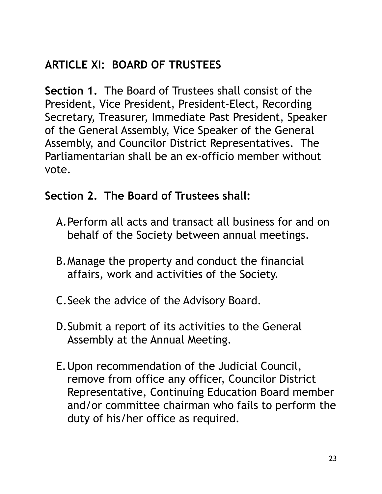## **ARTICLE XI: BOARD OF TRUSTEES**

**Section 1.** The Board of Trustees shall consist of the President, Vice President, President-Elect, Recording Secretary, Treasurer, Immediate Past President, Speaker of the General Assembly, Vice Speaker of the General Assembly, and Councilor District Representatives. The Parliamentarian shall be an ex-officio member without vote.

#### **Section 2. The Board of Trustees shall:**

- A.Perform all acts and transact all business for and on behalf of the Society between annual meetings.
- B.Manage the property and conduct the financial affairs, work and activities of the Society.
- C.Seek the advice of the Advisory Board.
- D.Submit a report of its activities to the General Assembly at the Annual Meeting.
- E.Upon recommendation of the Judicial Council, remove from office any officer, Councilor District Representative, Continuing Education Board member and/or committee chairman who fails to perform the duty of his/her office as required.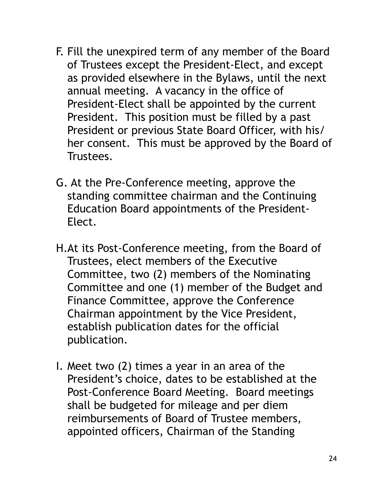- F. Fill the unexpired term of any member of the Board of Trustees except the President-Elect, and except as provided elsewhere in the Bylaws, until the next annual meeting. A vacancy in the office of President-Elect shall be appointed by the current President. This position must be filled by a past President or previous State Board Officer, with his/ her consent. This must be approved by the Board of Trustees.
- G. At the Pre-Conference meeting, approve the standing committee chairman and the Continuing Education Board appointments of the President-Elect.
- H.At its Post-Conference meeting, from the Board of Trustees, elect members of the Executive Committee, two (2) members of the Nominating Committee and one (1) member of the Budget and Finance Committee, approve the Conference Chairman appointment by the Vice President, establish publication dates for the official publication.
- I. Meet two (2) times a year in an area of the President's choice, dates to be established at the Post-Conference Board Meeting. Board meetings shall be budgeted for mileage and per diem reimbursements of Board of Trustee members, appointed officers, Chairman of the Standing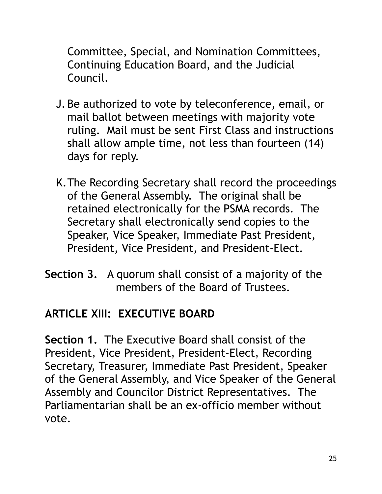Committee, Special, and Nomination Committees, Continuing Education Board, and the Judicial Council.

- J. Be authorized to vote by teleconference, email, or mail ballot between meetings with majority vote ruling. Mail must be sent First Class and instructions shall allow ample time, not less than fourteen (14) days for reply.
- K.The Recording Secretary shall record the proceedings of the General Assembly. The original shall be retained electronically for the PSMA records. The Secretary shall electronically send copies to the Speaker, Vice Speaker, Immediate Past President, President, Vice President, and President-Elect.
- **Section 3.** A quorum shall consist of a majority of the members of the Board of Trustees.

## **ARTICLE XIII: EXECUTIVE BOARD**

**Section 1.** The Executive Board shall consist of the President, Vice President, President-Elect, Recording Secretary, Treasurer, Immediate Past President, Speaker of the General Assembly, and Vice Speaker of the General Assembly and Councilor District Representatives. The Parliamentarian shall be an ex-officio member without vote.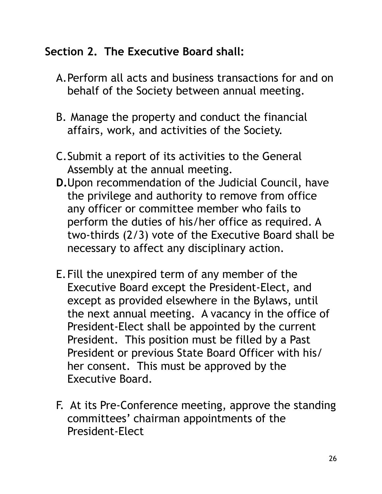#### **Section 2. The Executive Board shall:**

- A.Perform all acts and business transactions for and on behalf of the Society between annual meeting.
- B. Manage the property and conduct the financial affairs, work, and activities of the Society.
- C.Submit a report of its activities to the General Assembly at the annual meeting.
- **D.**Upon recommendation of the Judicial Council, have the privilege and authority to remove from office any officer or committee member who fails to perform the duties of his/her office as required. A two-thirds (2/3) vote of the Executive Board shall be necessary to affect any disciplinary action.
- E.Fill the unexpired term of any member of the Executive Board except the President-Elect, and except as provided elsewhere in the Bylaws, until the next annual meeting. A vacancy in the office of President-Elect shall be appointed by the current President. This position must be filled by a Past President or previous State Board Officer with his/ her consent. This must be approved by the Executive Board.
- F. At its Pre-Conference meeting, approve the standing committees' chairman appointments of the President-Elect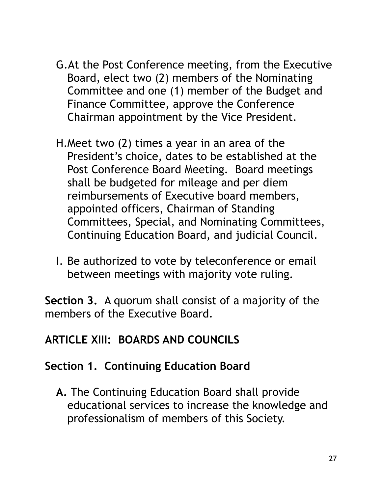- G.At the Post Conference meeting, from the Executive Board, elect two (2) members of the Nominating Committee and one (1) member of the Budget and Finance Committee, approve the Conference Chairman appointment by the Vice President.
- H.Meet two (2) times a year in an area of the President's choice, dates to be established at the Post Conference Board Meeting. Board meetings shall be budgeted for mileage and per diem reimbursements of Executive board members, appointed officers, Chairman of Standing Committees, Special, and Nominating Committees, Continuing Education Board, and judicial Council.
- I. Be authorized to vote by teleconference or email between meetings with majority vote ruling.

**Section 3.** A quorum shall consist of a majority of the members of the Executive Board.

#### **ARTICLE XIII: BOARDS AND COUNCILS**

#### **Section 1. Continuing Education Board**

**A.** The Continuing Education Board shall provide educational services to increase the knowledge and professionalism of members of this Society.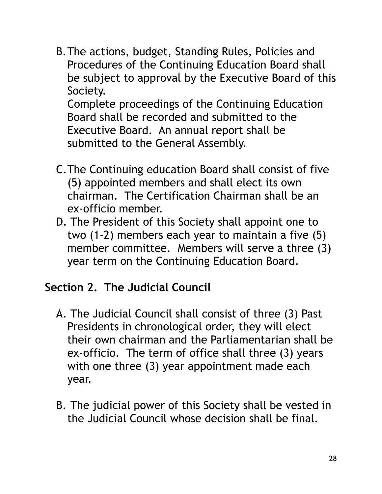B.The actions, budget, Standing Rules, Policies and Procedures of the Continuing Education Board shall be subject to approval by the Executive Board of this Society. Complete proceedings of the Continuing Education

Board shall be recorded and submitted to the Executive Board. An annual report shall be submitted to the General Assembly.

- C.The Continuing education Board shall consist of five (5) appointed members and shall elect its own chairman. The Certification Chairman shall be an ex-officio member.
- D. The President of this Society shall appoint one to two (1-2) members each year to maintain a five (5) member committee. Members will serve a three (3) year term on the Continuing Education Board.

#### **Section 2. The Judicial Council**

- A. The Judicial Council shall consist of three (3) Past Presidents in chronological order, they will elect their own chairman and the Parliamentarian shall be ex-officio. The term of office shall three (3) years with one three (3) year appointment made each year.
- B. The judicial power of this Society shall be vested in the Judicial Council whose decision shall be final.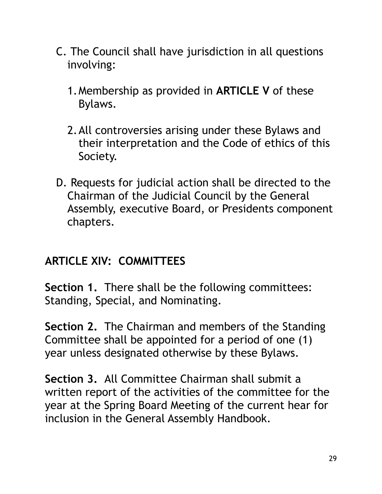- C. The Council shall have jurisdiction in all questions involving:
	- 1.Membership as provided in **ARTICLE V** of these Bylaws.
	- 2.All controversies arising under these Bylaws and their interpretation and the Code of ethics of this Society.
- D. Requests for judicial action shall be directed to the Chairman of the Judicial Council by the General Assembly, executive Board, or Presidents component chapters.

#### **ARTICLE XIV: COMMITTEES**

**Section 1.** There shall be the following committees: Standing, Special, and Nominating.

**Section 2.** The Chairman and members of the Standing Committee shall be appointed for a period of one (1) year unless designated otherwise by these Bylaws.

**Section 3.** All Committee Chairman shall submit a written report of the activities of the committee for the year at the Spring Board Meeting of the current hear for inclusion in the General Assembly Handbook.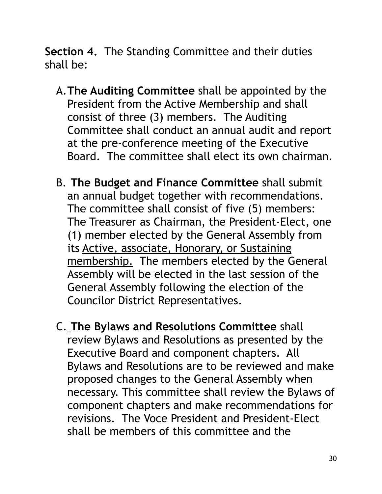**Section 4.** The Standing Committee and their duties shall be:

- A.**The Auditing Committee** shall be appointed by the President from the Active Membership and shall consist of three (3) members. The Auditing Committee shall conduct an annual audit and report at the pre-conference meeting of the Executive Board. The committee shall elect its own chairman.
- B. **The Budget and Finance Committee** shall submit an annual budget together with recommendations. The committee shall consist of five (5) members: The Treasurer as Chairman, the President-Elect, one (1) member elected by the General Assembly from its Active, associate, Honorary, or Sustaining membership. The members elected by the General Assembly will be elected in the last session of the General Assembly following the election of the Councilor District Representatives.
- C. **The Bylaws and Resolutions Committee** shall review Bylaws and Resolutions as presented by the Executive Board and component chapters. All Bylaws and Resolutions are to be reviewed and make proposed changes to the General Assembly when necessary. This committee shall review the Bylaws of component chapters and make recommendations for revisions. The Voce President and President-Elect shall be members of this committee and the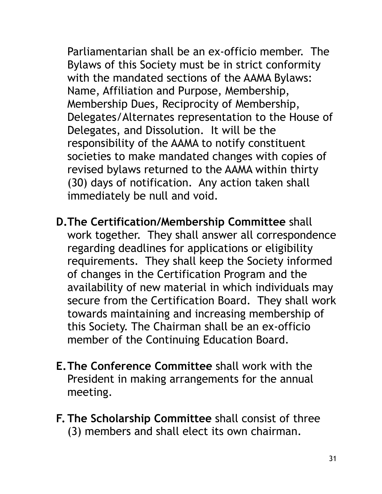Parliamentarian shall be an ex-officio member. The Bylaws of this Society must be in strict conformity with the mandated sections of the AAMA Bylaws: Name, Affiliation and Purpose, Membership, Membership Dues, Reciprocity of Membership, Delegates/Alternates representation to the House of Delegates, and Dissolution. It will be the responsibility of the AAMA to notify constituent societies to make mandated changes with copies of revised bylaws returned to the AAMA within thirty (30) days of notification. Any action taken shall immediately be null and void.

**D.The Certification/Membership Committee** shall work together. They shall answer all correspondence regarding deadlines for applications or eligibility requirements. They shall keep the Society informed of changes in the Certification Program and the availability of new material in which individuals may secure from the Certification Board. They shall work towards maintaining and increasing membership of this Society. The Chairman shall be an ex-officio member of the Continuing Education Board.

- **E.The Conference Committee** shall work with the President in making arrangements for the annual meeting.
- **F. The Scholarship Committee** shall consist of three (3) members and shall elect its own chairman.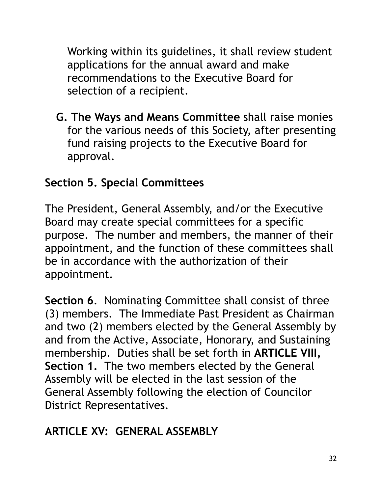Working within its guidelines, it shall review student applications for the annual award and make recommendations to the Executive Board for selection of a recipient.

**G. The Ways and Means Committee** shall raise monies for the various needs of this Society, after presenting fund raising projects to the Executive Board for approval.

### **Section 5. Special Committees**

The President, General Assembly, and/or the Executive Board may create special committees for a specific purpose. The number and members, the manner of their appointment, and the function of these committees shall be in accordance with the authorization of their appointment.

**Section 6**. Nominating Committee shall consist of three (3) members. The Immediate Past President as Chairman and two (2) members elected by the General Assembly by and from the Active, Associate, Honorary, and Sustaining membership. Duties shall be set forth in **ARTICLE VIII, Section 1.** The two members elected by the General Assembly will be elected in the last session of the General Assembly following the election of Councilor District Representatives.

## **ARTICLE XV: GENERAL ASSEMBLY**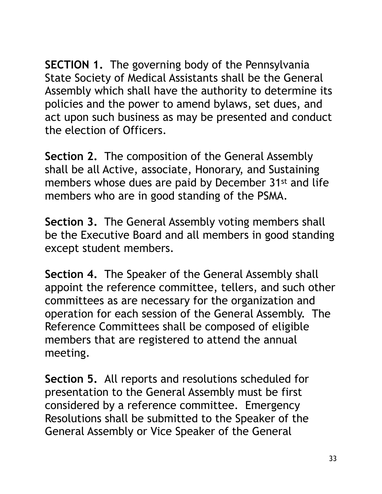**SECTION 1.** The governing body of the Pennsylvania State Society of Medical Assistants shall be the General Assembly which shall have the authority to determine its policies and the power to amend bylaws, set dues, and act upon such business as may be presented and conduct the election of Officers.

**Section 2.** The composition of the General Assembly shall be all Active, associate, Honorary, and Sustaining members whose dues are paid by December 31st and life members who are in good standing of the PSMA.

**Section 3.** The General Assembly voting members shall be the Executive Board and all members in good standing except student members.

**Section 4.** The Speaker of the General Assembly shall appoint the reference committee, tellers, and such other committees as are necessary for the organization and operation for each session of the General Assembly. The Reference Committees shall be composed of eligible members that are registered to attend the annual meeting.

**Section 5.** All reports and resolutions scheduled for presentation to the General Assembly must be first considered by a reference committee. Emergency Resolutions shall be submitted to the Speaker of the General Assembly or Vice Speaker of the General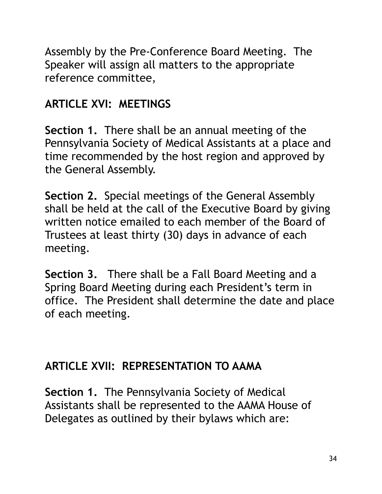Assembly by the Pre-Conference Board Meeting. The Speaker will assign all matters to the appropriate reference committee,

## **ARTICLE XVI: MEETINGS**

**Section 1.** There shall be an annual meeting of the Pennsylvania Society of Medical Assistants at a place and time recommended by the host region and approved by the General Assembly.

**Section 2.** Special meetings of the General Assembly shall be held at the call of the Executive Board by giving written notice emailed to each member of the Board of Trustees at least thirty (30) days in advance of each meeting.

**Section 3.** There shall be a Fall Board Meeting and a Spring Board Meeting during each President's term in office. The President shall determine the date and place of each meeting.

#### **ARTICLE XVII: REPRESENTATION TO AAMA**

**Section 1.** The Pennsylvania Society of Medical Assistants shall be represented to the AAMA House of Delegates as outlined by their bylaws which are: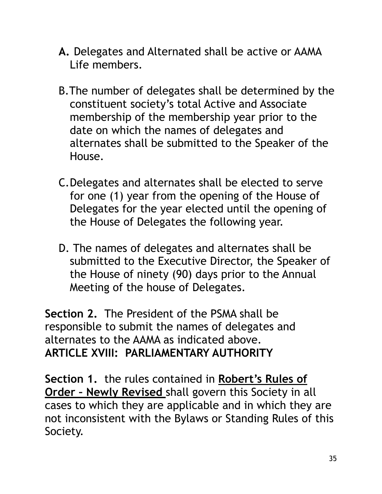- **A.** Delegates and Alternated shall be active or AAMA Life members.
- B.The number of delegates shall be determined by the constituent society's total Active and Associate membership of the membership year prior to the date on which the names of delegates and alternates shall be submitted to the Speaker of the House.
- C.Delegates and alternates shall be elected to serve for one (1) year from the opening of the House of Delegates for the year elected until the opening of the House of Delegates the following year.
- D. The names of delegates and alternates shall be submitted to the Executive Director, the Speaker of the House of ninety (90) days prior to the Annual Meeting of the house of Delegates.

**Section 2.** The President of the PSMA shall be responsible to submit the names of delegates and alternates to the AAMA as indicated above. **ARTICLE XVIII: PARLIAMENTARY AUTHORITY** 

**Section 1.** the rules contained in **Robert's Rules of Order – Newly Revised** shall govern this Society in all cases to which they are applicable and in which they are not inconsistent with the Bylaws or Standing Rules of this Society.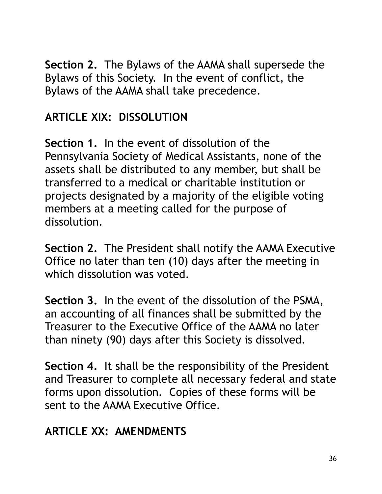**Section 2.** The Bylaws of the AAMA shall supersede the Bylaws of this Society. In the event of conflict, the Bylaws of the AAMA shall take precedence.

## **ARTICLE XIX: DISSOLUTION**

**Section 1.** In the event of dissolution of the Pennsylvania Society of Medical Assistants, none of the assets shall be distributed to any member, but shall be transferred to a medical or charitable institution or projects designated by a majority of the eligible voting members at a meeting called for the purpose of dissolution.

**Section 2.** The President shall notify the AAMA Executive Office no later than ten (10) days after the meeting in which dissolution was voted.

**Section 3.** In the event of the dissolution of the PSMA, an accounting of all finances shall be submitted by the Treasurer to the Executive Office of the AAMA no later than ninety (90) days after this Society is dissolved.

**Section 4.** It shall be the responsibility of the President and Treasurer to complete all necessary federal and state forms upon dissolution. Copies of these forms will be sent to the AAMA Executive Office.

#### **ARTICLE XX: AMENDMENTS**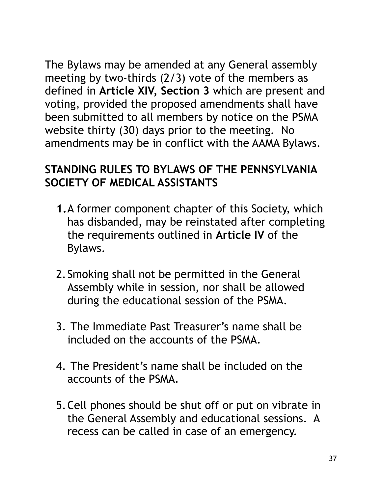The Bylaws may be amended at any General assembly meeting by two-thirds (2/3) vote of the members as defined in **Article XIV, Section 3** which are present and voting, provided the proposed amendments shall have been submitted to all members by notice on the PSMA website thirty (30) days prior to the meeting. No amendments may be in conflict with the AAMA Bylaws.

### **STANDING RULES TO BYLAWS OF THE PENNSYLVANIA SOCIETY OF MEDICAL ASSISTANTS**

- **1.**A former component chapter of this Society, which has disbanded, may be reinstated after completing the requirements outlined in **Article IV** of the Bylaws.
- 2.Smoking shall not be permitted in the General Assembly while in session, nor shall be allowed during the educational session of the PSMA.
- 3. The Immediate Past Treasurer's name shall be included on the accounts of the PSMA.
- 4. The President's name shall be included on the accounts of the PSMA.
- 5.Cell phones should be shut off or put on vibrate in the General Assembly and educational sessions. A recess can be called in case of an emergency.